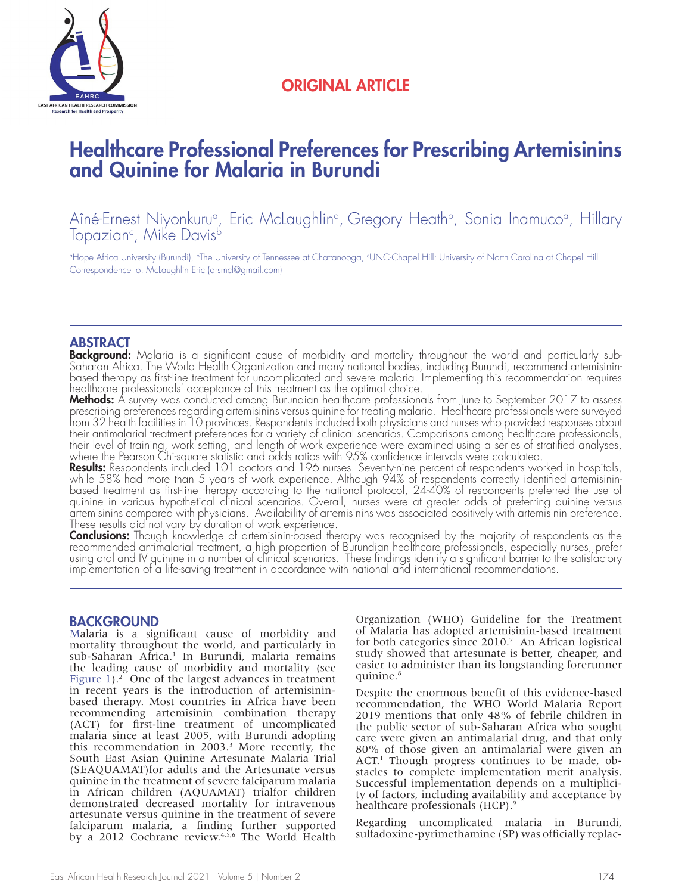

## ORIGINAL ARTICLE

# Healthcare Professional Preferences for Prescribing Artemisinins and Quinine for Malaria in Burundi

Aîné-Ernest Niyonkuruª, Eric McLaughlinª, Gregory Heathʰ, Sonia Inamucoª, Hillary<br>Topazianº, Mike Davisʰ

°Hope Africa University (Burundi), <sup>ь</sup>The University of Tennessee at Chattanooga, <sup>«</sup>UNC-Chapel Hill: University of North Carolina at Chapel Hill Correspondence to: McLaughlin Eric (drsmcl@gmail.com)

**ABSTRACT**<br>Background: Malaria is a significant cause of morbidity and mortality throughout the world and particularly sub-Saharan Africa. The World Health Organization and many national bodies, including Burundi, recommend artemisininbased therapy as first-line treatment for uncomplicated and severe malaria. Implementing this recommendation requires healthcare professionals' acceptance of this treatment as the optimal choice.<br>Methods: A survey was conducted among Burundian healthcare professionals from June to September 2017 to assess

**Methods:** A survey was conducted among Burundian healthcare professionals from June to September 2017 to assess<br>prescribing preferences regarding artemisinins versus quinine for treating malaria. Healthcare professionals from 32 health facilities in 10 provinces. Respondents included both physicians and nurses who provided responses about their antimalarial treatment preferences for a variety of clinical scenarios. Comparisons among healthcare professionals, their level of training, work setting, and length of work experience were examined using a series of stratified analyses, where the Pearson Chi-square statistic and odds ratios with 95% confidence intervals were calculated.

Results: Respondents included 101 doctors and 196 nurses. Seventy-nine percent of respondents worked in hospitals, while 58% had more than 5 years of work experience. Although 94% of respondents correctly identified artemi based treatment as first-line therapy according to the national protocol, 24-40% of respondents preferred the use of quinine in various hypothetical clinical scenarios. Overall, nurses were at greater odds of preferring quinine versus artemisinins compared with physicians. Availability of artemisinins was associated positively with artemisinin preference. These results did not vary by duration of work experience.

**Conclusions:** Though knowledge of artemisinin-based therapy was recognised by the majority of respondents as the recommended antimalarial treatment, a high proportion of Burundian healthcare professionals, especially nurses, prefer using oral and IV quinine in a number of clinical scenarios. These findings identify a significant barrier to the satisfactory implementation of a life-saving treatment in accordance with national and international recommendations.

### BACKGROUND

Malaria is a significant cause of morbidity and mortality throughout the world, and particularly in sub-Saharan Africa.<sup>1</sup> In Burundi, malaria remains the leading cause of morbidity and mortality (see Figure  $1$ ).<sup>2</sup> One of the largest advances in treatment in recent years is the introduction of artemisininbased therapy. Most countries in Africa have been recommending artemisinin combination therapy (ACT) for first-line treatment of uncomplicated malaria since at least 2005, with Burundi adopting this recommendation in 2003.3 More recently, the South East Asian Quinine Artesunate Malaria Trial (SEAQUAMAT)for adults and the Artesunate versus quinine in the treatment of severe falciparum malaria in African children (AQUAMAT) trialfor children demonstrated decreased mortality for intravenous artesunate versus quinine in the treatment of severe falciparum malaria, a finding further supported by a 2012 Cochrane review.<sup>4,5,6</sup> The World Health Organization (WHO) Guideline for the Treatment of Malaria has adopted artemisinin-based treatment for both categories since 2010.7 An African logistical study showed that artesunate is better, cheaper, and easier to administer than its longstanding forerunner quinine.<sup>8</sup>

Despite the enormous benefit of this evidence-based recommendation, the WHO World Malaria Report 2019 mentions that only 48% of febrile children in the public sector of sub-Saharan Africa who sought care were given an antimalarial drug, and that only 80% of those given an antimalarial were given an ACT.<sup>1</sup> Though progress continues to be made, obstacles to complete implementation merit analysis. Successful implementation depends on a multiplicity of factors, including availability and acceptance by healthcare professionals (HCP).<sup>9</sup>

Regarding uncomplicated malaria in Burundi, sulfadoxine-pyrimethamine (SP) was officially replac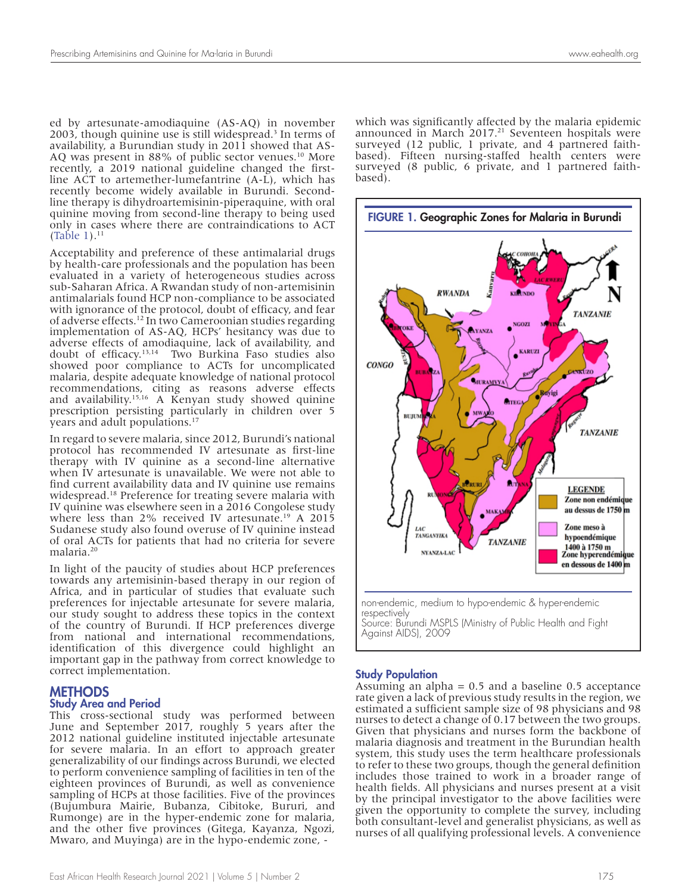ed by artesunate-amodiaquine (AS-AQ) in november 2003, though quinine use is still widespread.<sup>3</sup> In terms of availability, a Burundian study in 2011 showed that AS-AQ was present in 88% of public sector venues.<sup>10</sup> More recently, a 2019 national guideline changed the firstline ACT to artemether-lumefantrine (A-L), which has recently become widely available in Burundi. Secondline therapy is dihydroartemisinin-piperaquine, with oral quinine moving from second-line therapy to being used only in cases where there are contraindications to ACT (Table 1). $^{11}$ 

Acceptability and preference of these antimalarial drugs by health-care professionals and the population has been evaluated in a variety of heterogeneous studies across sub-Saharan Africa. A Rwandan study of non-artemisinin antimalarials found HCP non-compliance to be associated with ignorance of the protocol, doubt of efficacy, and fear of adverse effects.12 In two Cameroonian studies regarding implementation of AS-AQ, HCPs' hesitancy was due to adverse effects of amodiaquine, lack of availability, and doubt of efficacy.13,14 Two Burkina Faso studies also showed poor compliance to ACTs for uncomplicated malaria, despite adequate knowledge of national protocol recommendations, citing as reasons adverse effects and availability.15,16 A Kenyan study showed quinine prescription persisting particularly in children over 5 years and adult populations.<sup>17</sup>

In regard to severe malaria, since 2012, Burundi's national protocol has recommended IV artesunate as first-line therapy with IV quinine as a second-line alternative when IV artesunate is unavailable. We were not able to find current availability data and IV quinine use remains widespread.18 Preference for treating severe malaria with IV quinine was elsewhere seen in a 2016 Congolese study where less than 2% received IV artesunate.<sup>19</sup> A 2015 Sudanese study also found overuse of IV quinine instead of oral ACTs for patients that had no criteria for severe malaria.20

In light of the paucity of studies about HCP preferences towards any artemisinin-based therapy in our region of Africa, and in particular of studies that evaluate such preferences for injectable artesunate for severe malaria, our study sought to address these topics in the context of the country of Burundi. If HCP preferences diverge from national and international recommendations, identification of this divergence could highlight an important gap in the pathway from correct knowledge to correct implementation.

#### **METHODS**

#### Study Area and Period

This cross-sectional study was performed between June and September 2017, roughly 5 years after the 2012 national guideline instituted injectable artesunate for severe malaria. In an effort to approach greater generalizability of our findings across Burundi, we elected to perform convenience sampling of facilities in ten of the eighteen provinces of Burundi, as well as convenience sampling of HCPs at those facilities. Five of the provinces (Bujumbura Mairie, Bubanza, Cibitoke, Bururi, and Rumonge) are in the hyper-endemic zone for malaria, and the other five provinces (Gitega, Kayanza, Ngozi, Mwaro, and Muyinga) are in the hypo-endemic zone, -

which was significantly affected by the malaria epidemic announced in March  $2017.<sup>21</sup>$  Seventeen hospitals were surveyed (12 public, 1 private, and 4 partnered faithbased). Fifteen nursing-staffed health centers were surveyed (8 public, 6 private, and 1 partnered faithbased).



#### Study Population

Assuming an alpha  $= 0.5$  and a baseline 0.5 acceptance rate given a lack of previous study results in the region, we estimated a sufficient sample size of 98 physicians and 98 nurses to detect a change of 0.17 between the two groups. Given that physicians and nurses form the backbone of malaria diagnosis and treatment in the Burundian health system, this study uses the term healthcare professionals to refer to these two groups, though the general definition includes those trained to work in a broader range of health fields. All physicians and nurses present at a visit by the principal investigator to the above facilities were given the opportunity to complete the survey, including both consultant-level and generalist physicians, as well as nurses of all qualifying professional levels. A convenience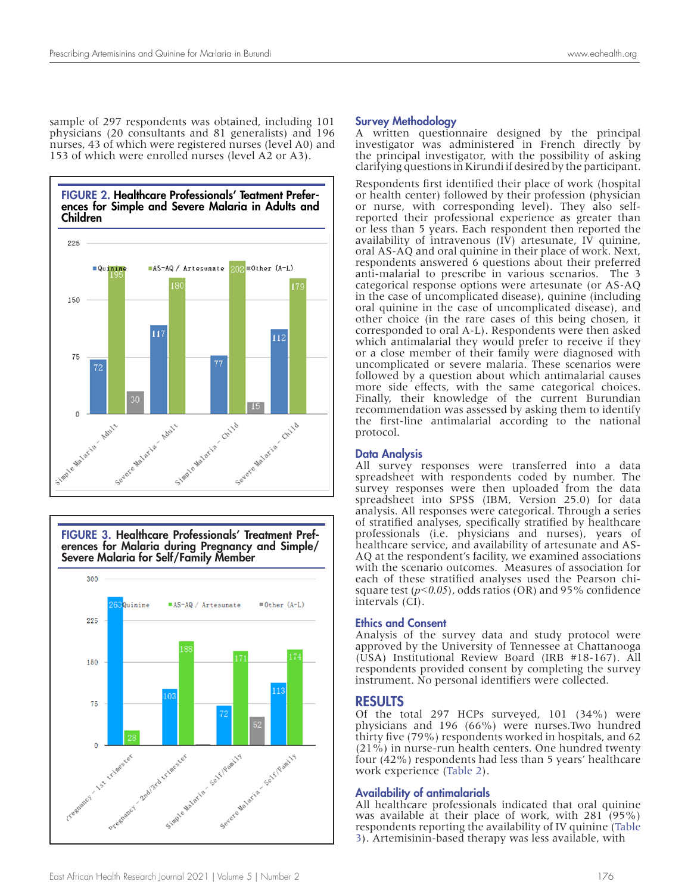sample of 297 respondents was obtained, including 101 physicians (20 consultants and 81 generalists) and 196 nurses, 43 of which were registered nurses (level A0) and 153 of which were enrolled nurses (level A2 or A3).



FIGURE 3. Healthcare Professionals' Treatment Preferences for Malaria during Pregnancy and Simple/ Severe Malaria for Self/Family Member 300 Quinine ■AS-AQ / Artesunate  $= 0$ ther  $(A-L)$ 225 150 75 Strange Marie Society and relative solutions dl3rd trimester

#### Survey Methodology

A written questionnaire designed by the principal investigator was administered in French directly by the principal investigator, with the possibility of asking clarifying questions in Kirundi if desired by the participant.

Respondents first identified their place of work (hospital or health center) followed by their profession (physician or nurse, with corresponding level). They also selfreported their professional experience as greater than or less than 5 years. Each respondent then reported the availability of intravenous  $(\overline{IV})$  artesunate,  $\overline{IV}$  quinine, oral AS-AQ and oral quinine in their place of work. Next, respondents answered 6 questions about their preferred anti-malarial to prescribe in various scenarios. The 3 categorical response options were artesunate (or AS-AQ in the case of uncomplicated disease), quinine (including oral quinine in the case of uncomplicated disease), and other choice (in the rare cases of this being chosen, it corresponded to oral A-L). Respondents were then asked which antimalarial they would prefer to receive if they or a close member of their family were diagnosed with uncomplicated or severe malaria. These scenarios were followed by a question about which antimalarial causes more side effects, with the same categorical choices. Finally, their knowledge of the current Burundian recommendation was assessed by asking them to identify the first-line antimalarial according to the national protocol.

#### Data Analysis

All survey responses were transferred into a data spreadsheet with respondents coded by number. The survey responses were then uploaded from the data spreadsheet into SPSS (IBM, Version 25.0) for data analysis. All responses were categorical. Through a series of stratified analyses, specifically stratified by healthcare professionals (i.e. physicians and nurses), years of healthcare service, and availability of artesunate and AS-AQ at the respondent's facility, we examined associations with the scenario outcomes. Measures of association for each of these stratified analyses used the Pearson chisquare test  $(p<0.05)$ , odds ratios (OR) and 95% confidence intervals (CI).

#### Ethics and Consent

Analysis of the survey data and study protocol were approved by the University of Tennessee at Chattanooga (USA) Institutional Review Board (IRB #18-167). All respondents provided consent by completing the survey instrument. No personal identifiers were collected.

#### RESULTS

Of the total 297 HCPs surveyed, 101 (34%) were physicians and 196 (66%) were nurses.Two hundred thirty five (79%) respondents worked in hospitals, and 62 (21%) in nurse-run health centers. One hundred twenty four (42%) respondents had less than 5 years' healthcare work experience (Table 2).

#### Availability of antimalarials

All healthcare professionals indicated that oral quinine was available at their place of work, with 281 (95%) respondents reporting the availability of IV quinine (Table 3). Artemisinin-based therapy was less available, with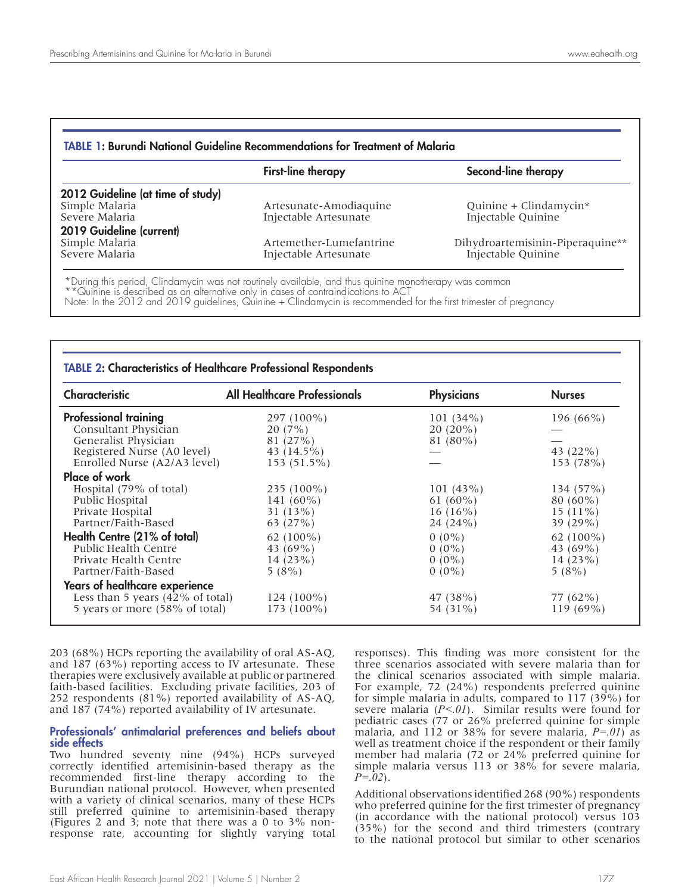| <b>TABLE 1: Burundi National Guideline Recommendations for Treatment of Malaria</b> |                           |                                  |  |  |  |
|-------------------------------------------------------------------------------------|---------------------------|----------------------------------|--|--|--|
|                                                                                     | <b>First-line therapy</b> | Second-line therapy              |  |  |  |
| 2012 Guideline (at time of study)                                                   |                           |                                  |  |  |  |
| Simple Malaria                                                                      | Artesunate-Amodiaquine    | Quinine + Clindamycin*           |  |  |  |
| Severe Malaria                                                                      | Injectable Artesunate     | Injectable Quinine               |  |  |  |
| 2019 Guideline (current)                                                            |                           |                                  |  |  |  |
| Simple Malaria                                                                      | Artemether-Lumefantrine   | Dihydroartemisinin-Piperaquine** |  |  |  |
| Severe Malaria                                                                      | Injectable Artesunate     | Injectable Quinine               |  |  |  |

\*During this period, Clindamycin was not routinely available, and thus quinine monotherapy was common

\*\*Quinine is described as an alternative only in cases of contraindications to ACT Note: In the 2012 and 2019 guidelines, Quinine + Clindamycin is recommended for the first trimester of pregnancy

| <b>Characteristic</b>                       | <b>All Healthcare Professionals</b> | <b>Physicians</b> | <b>Nurses</b> |  |
|---------------------------------------------|-------------------------------------|-------------------|---------------|--|
| <b>Professional training</b>                | 297 (100%)                          | $101(34\%)$       | 196 $(66\%)$  |  |
| Consultant Physician                        | 20(7%)                              | $20(20\%)$        |               |  |
| Generalist Physician                        | 81(27%)                             | 81 (80%)          |               |  |
| Registered Nurse (A0 level)                 | 43 (14.5%)                          |                   | 43 $(22\%)$   |  |
| Enrolled Nurse (A2/A3 level)                | $153(51.5\%)$                       |                   | 153 (78%)     |  |
| Place of work                               |                                     |                   |               |  |
| Hospital (79% of total)                     | $235(100\%)$                        | 101(43%)          | $134(57\%)$   |  |
| Public Hospital                             | 141 $(60\%)$                        | 61 $(60\%)$       | $80(60\%)$    |  |
| Private Hospital                            | 31(13%)                             | $16(16\%)$        | $15(11\%)$    |  |
| Partner/Faith-Based                         | 63 $(27%)$                          | 24 (24%)          | 39 $(29%)$    |  |
| Health Centre (21% of total)                | 62 $(100\%)$                        | $0(0\%)$          | 62 $(100\%)$  |  |
| Public Health Centre                        | 43 $(69\%)$                         | $0(0\%)$          | 43 (69%)      |  |
| Private Health Centre                       | 14(23%)                             | $0(0\%)$          | 14 $(23%)$    |  |
| Partner/Faith-Based                         | 5(8%)                               | $0(0\%)$          | $5(8\%)$      |  |
| Years of healthcare experience              |                                     |                   |               |  |
| Less than 5 years $(42\% \text{ of total})$ | $124(100\%)$                        | 47 (38%)          | 77 (62%)      |  |
| 5 years or more (58% of total)              | $173(100\%)$                        | 54 (31%)          | $119(69\%)$   |  |

203 (68%) HCPs reporting the availability of oral AS-AQ, and 187 (63%) reporting access to IV artesunate. These therapies were exclusively available at public or partnered faith-based facilities. Excluding private facilities, 203 of 252 respondents (81%) reported availability of AS-AQ, and 187 (74%) reported availability of IV artesunate.

#### Professionals' antimalarial preferences and beliefs about side effects

Two hundred seventy nine (94%) HCPs surveyed correctly identified artemisinin-based therapy as the recommended first-line therapy according to the Burundian national protocol. However, when presented with a variety of clinical scenarios, many of these HCPs still preferred quinine to artemisinin-based therapy (Figures 2 and 3; note that there was a 0 to 3% nonresponse rate, accounting for slightly varying total responses). This finding was more consistent for the three scenarios associated with severe malaria than for the clinical scenarios associated with simple malaria. For example, 72 (24%) respondents preferred quinine for simple malaria in adults, compared to 117 (39%) for severe malaria (*P<.01*). Similar results were found for pediatric cases (77 or 26% preferred quinine for simple malaria, and 112 or 38% for severe malaria, *P=.01*) as well as treatment choice if the respondent or their family member had malaria (72 or 24% preferred quinine for simple malaria versus 113 or 38% for severe malaria, *P=.02*).

Additional observations identified 268 (90%) respondents who preferred quinine for the first trimester of pregnancy (in accordance with the national protocol) versus 103 (35%) for the second and third trimesters (contrary to the national protocol but similar to other scenarios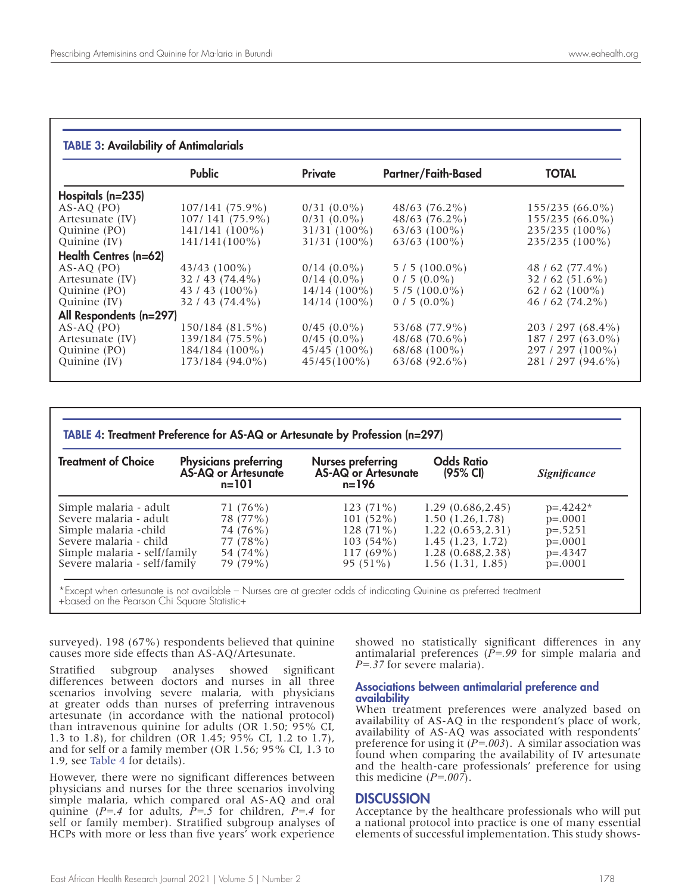#### TABLE 3: Availability of Antimalarials

|                         | <b>Public</b>     | Private          | <b>Partner/Faith-Based</b> | <b>TOTAL</b>       |
|-------------------------|-------------------|------------------|----------------------------|--------------------|
| Hospitals $(n=235)$     |                   |                  |                            |                    |
| $AS-AO$ (PO)            | $107/141(75.9\%)$ | $0/31(0.0\%)$    | $48/63$ (76.2%)            | $155/235(66.0\%)$  |
| Artesunate (IV)         | $107/141(75.9\%)$ | $0/31(0.0\%)$    | $48/63$ (76.2%)            | $155/235(66.0\%)$  |
| Quinine (PO)            | $141/141(100\%)$  | $31/31(100\%)$   | $63/63$ (100%)             | 235/235 (100%)     |
| Quinine $(IV)$          | $141/141(100\%)$  | $31/31(100\%)$   | $63/63$ (100%)             | 235/235 (100%)     |
| Health Centres (n=62)   |                   |                  |                            |                    |
| $AS-AQ$ (PO)            | $43/43$ (100%)    | $0/14$ $(0.0\%)$ | $5/5(100.0\%)$             | 48 / 62 $(77.4\%)$ |
| Artesunate (IV)         | $32/43(74.4\%)$   | $0/14$ $(0.0\%)$ | $0/5(0.0\%)$               | $32/62(51.6\%)$    |
| Quinine (PO)            | $43/43(100\%)$    | $14/14(100\%)$   | $5/5(100.0\%)$             | 62 / 62 $(100\%)$  |
| Quinine (IV)            | $32/43(74.4\%)$   | $14/14(100\%)$   | $0/5(0.0\%)$               | $46/62(74.2\%)$    |
| All Respondents (n=297) |                   |                  |                            |                    |
| $AS-AO$ (PO)            | 150/184 (81.5%)   | $0/45(0.0\%)$    | 53/68 (77.9%)              | 203 / 297 (68.4%)  |
| Artesunate (IV)         | 139/184 (75.5%)   | $0/45$ (0.0%)    | 48/68 (70.6%)              | $187/297(63.0\%)$  |
| Quinine (PO)            | $184/184(100\%)$  | $45/45(100\%)$   | $68/68$ (100%)             | 297 / 297 (100%)   |
| Quinine $(IV)$          | 173/184 (94.0%)   | $45/45(100\%)$   | $63/68$ (92.6%)            | 281 / 297 (94.6%)  |

|  |  | TABLE 4: Treatment Preference for AS-AQ or Artesunate by Profession (n=297) |  |  |  |  |  |  |  |  |
|--|--|-----------------------------------------------------------------------------|--|--|--|--|--|--|--|--|
|--|--|-----------------------------------------------------------------------------|--|--|--|--|--|--|--|--|

| <b>Treatment of Choice</b>   | <b>Physicians preferring</b><br>AS-AQ or Artesunate<br>$n = 101$ | Nurses preferring<br>AS-AQ or Artesunate<br>n=196 | <b>Odds Ratio</b><br>(95% CI) | <i>Significance</i> |  |
|------------------------------|------------------------------------------------------------------|---------------------------------------------------|-------------------------------|---------------------|--|
| Simple malaria - adult       | 71 (76%)                                                         | $123(71\%)$                                       | 1.29(0.686, 2.45)             | $p = 0.4242*$       |  |
| Severe malaria - adult       | 78 (77%)                                                         | $101(52\%)$                                       | 1.50(1.26.1.78)               | $p=.0001$           |  |
| Simple malaria - child       | 74 (76%)                                                         | $128(71\%)$                                       | 1.22(0.653, 2.31)             | $p=.5251$           |  |
| Severe malaria - child       | 77 (78%)                                                         | $103(54\%)$                                       | 1.45(1.23, 1.72)              | $p=.0001$           |  |
| Simple malaria - self/family | 54 (74%)                                                         | $117(69\%)$                                       | 1.28(0.688, 2.38)             | $p = 0.4347$        |  |
| Severe malaria - self/family | 79 (79%)                                                         | $95(51\%)$                                        | $1.56$ (1.31, 1.85)           | $p=.0001$           |  |

\*Except when artesunate is not available – Nurses are at greater odds of indicating Quinine as preferred treatment +based on the Pearson Chi Square Statistic+

surveyed). 198 (67%) respondents believed that quinine causes more side effects than AS-AQ/Artesunate.

Stratified subgroup analyses showed significant differences between doctors and nurses in all three scenarios involving severe malaria, with physicians at greater odds than nurses of preferring intravenous artesunate (in accordance with the national protocol) than intravenous quinine for adults (OR 1.50; 95% CI, 1.3 to 1.8), for children (OR 1.45; 95% CI, 1.2 to 1.7), and for self or a family member (OR 1.56; 95% CI, 1.3 to 1.9, see Table 4 for details).

However, there were no significant differences between physicians and nurses for the three scenarios involving simple malaria, which compared oral AS-AQ and oral quinine (*P=.4* for adults, *P=.5* for children, *P=.4* for self or family member). Stratified subgroup analyses of HCPs with more or less than five years' work experience

showed no statistically significant differences in any antimalarial preferences (*P=.99* for simple malaria and *P=.37* for severe malaria).

#### Associations between antimalarial preference and availability

When treatment preferences were analyzed based on availability of AS-AQ in the respondent's place of work, availability of AS-AQ was associated with respondents' preference for using it (*P=.003*). A similar association was found when comparing the availability of IV artesunate and the health-care professionals' preference for using this medicine (*P=.007*).

#### **DISCUSSION**

Acceptance by the healthcare professionals who will put a national protocol into practice is one of many essential elements of successful implementation. This study shows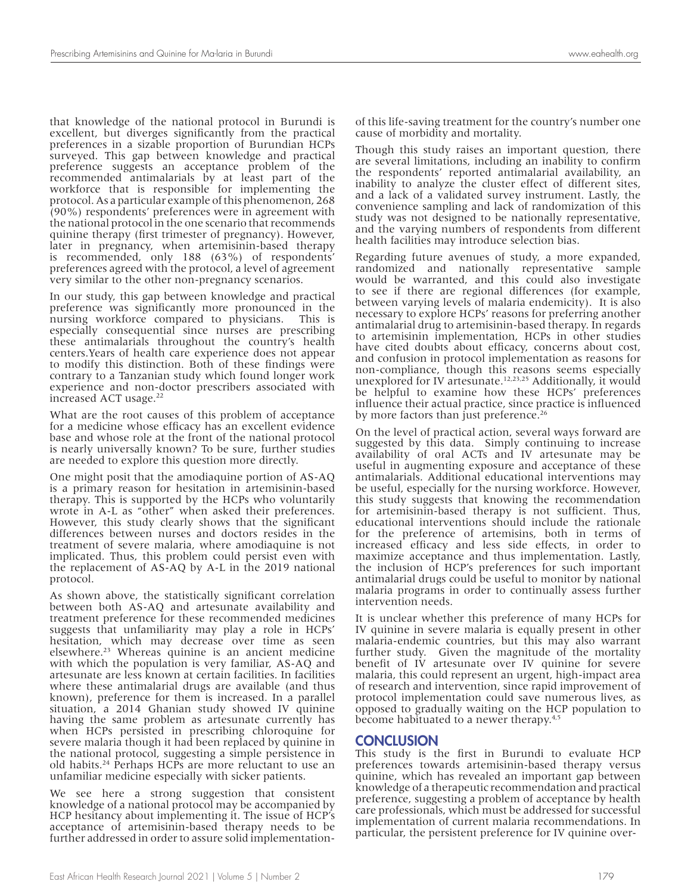that knowledge of the national protocol in Burundi is excellent, but diverges significantly from the practical preferences in a sizable proportion of Burundian HCPs surveyed. This gap between knowledge and practical preference suggests an acceptance problem of the recommended antimalarials by at least part of the workforce that is responsible for implementing the protocol. As a particular example of this phenomenon, 268 (90%) respondents' preferences were in agreement with the national protocol in the one scenario that recommends quinine therapy (first trimester of pregnancy). However, later in pregnancy, when artemisinin-based therapy is recommended, only 188 (63%) of respondents' preferences agreed with the protocol, a level of agreement very similar to the other non-pregnancy scenarios.

In our study, this gap between knowledge and practical preference was significantly more pronounced in the nursing workforce compared to physicians. This is especially consequential since nurses are prescribing these antimalarials throughout the country's health centers.Years of health care experience does not appear to modify this distinction. Both of these findings were contrary to a Tanzanian study which found longer work experience and non-doctor prescribers associated with increased ACT usage.<sup>22</sup>

What are the root causes of this problem of acceptance for a medicine whose efficacy has an excellent evidence base and whose role at the front of the national protocol is nearly universally known? To be sure, further studies are needed to explore this question more directly.

One might posit that the amodiaquine portion of AS-AQ is a primary reason for hesitation in artemisinin-based therapy. This is supported by the HCPs who voluntarily wrote in A-L as "other" when asked their preferences. However, this study clearly shows that the significant differences between nurses and doctors resides in the treatment of severe malaria, where amodiaquine is not implicated. Thus, this problem could persist even with the replacement of AS-AQ by A-L in the 2019 national protocol.

As shown above, the statistically significant correlation between both AS-AQ and artesunate availability and treatment preference for these recommended medicines suggests that unfamiliarity may play a role in HCPs' hesitation, which may decrease over time as seen elsewhere.23 Whereas quinine is an ancient medicine with which the population is very familiar, AS-AQ and artesunate are less known at certain facilities. In facilities where these antimalarial drugs are available (and thus known), preference for them is increased. In a parallel situation, a 2014 Ghanian study showed IV quinine having the same problem as artesunate currently has when HCPs persisted in prescribing chloroquine for severe malaria though it had been replaced by quinine in the national protocol, suggesting a simple persistence in old habits.24 Perhaps HCPs are more reluctant to use an unfamiliar medicine especially with sicker patients.

We see here a strong suggestion that consistent knowledge of a national protocol may be accompanied by HCP hesitancy about implementing it. The issue of HCP's acceptance of artemisinin-based therapy needs to be further addressed in order to assure solid implementationof this life-saving treatment for the country's number one cause of morbidity and mortality.

Though this study raises an important question, there are several limitations, including an inability to confirm the respondents' reported antimalarial availability, an inability to analyze the cluster effect of different sites, and a lack of a validated survey instrument. Lastly, the convenience sampling and lack of randomization of this study was not designed to be nationally representative, and the varying numbers of respondents from different health facilities may introduce selection bias.

Regarding future avenues of study, a more expanded, randomized and nationally representative sample would be warranted, and this could also investigate to see if there are regional differences (for example, between varying levels of malaria endemicity). It is also necessary to explore HCPs' reasons for preferring another antimalarial drug to artemisinin-based therapy. In regards to artemisinin implementation, HCPs in other studies have cited doubts about efficacy, concerns about cost, and confusion in protocol implementation as reasons for non-compliance, though this reasons seems especially unexplored for IV artesunate.<sup>12,23,25</sup> Additionally, it would be helpful to examine how these HCPs' preferences influence their actual practice, since practice is influenced by more factors than just preference.<sup>26</sup>

On the level of practical action, several ways forward are suggested by this data. Simply continuing to increase availability of oral ACTs and IV artesunate may be useful in augmenting exposure and acceptance of these antimalarials. Additional educational interventions may be useful, especially for the nursing workforce. However, this study suggests that knowing the recommendation for artemisinin-based therapy is not sufficient. Thus, educational interventions should include the rationale for the preference of artemisins, both in terms of increased efficacy and less side effects, in order to maximize acceptance and thus implementation. Lastly, the inclusion of HCP's preferences for such important antimalarial drugs could be useful to monitor by national malaria programs in order to continually assess further intervention needs.

It is unclear whether this preference of many HCPs for IV quinine in severe malaria is equally present in other malaria-endemic countries, but this may also warrant further study. Given the magnitude of the mortality benefit of IV artesunate over IV quinine for severe malaria, this could represent an urgent, high-impact area of research and intervention, since rapid improvement of protocol implementation could save numerous lives, as opposed to gradually waiting on the HCP population to become habituated to a newer therapy.<sup>4,5</sup>

### **CONCLUSION**

This study is the first in Burundi to evaluate HCP preferences towards artemisinin-based therapy versus quinine, which has revealed an important gap between knowledge of a therapeutic recommendation and practical preference, suggesting a problem of acceptance by health care professionals, which must be addressed for successful implementation of current malaria recommendations. In particular, the persistent preference for IV quinine over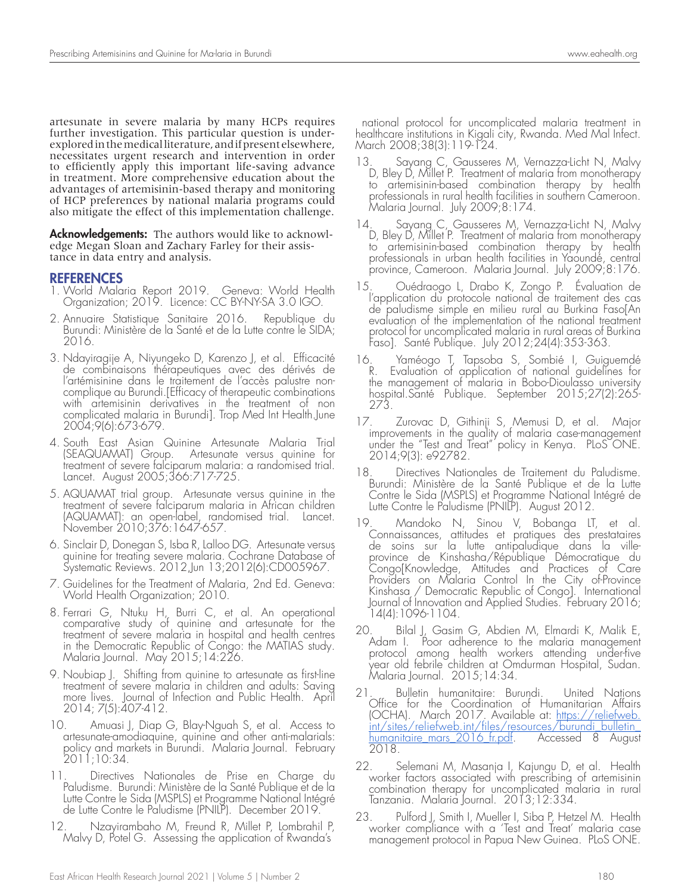artesunate in severe malaria by many HCPs requires further investigation. This particular question is underexplored in the medical literature, and if present elsewhere, necessitates urgent research and intervention in order to efficiently apply this important life-saving advance in treatment. More comprehensive education about the advantages of artemisinin-based therapy and monitoring of HCP preferences by national malaria programs could also mitigate the effect of this implementation challenge.

**Acknowledgements:** The authors would like to acknowledge Megan Sloan and Zachary Farley for their assistance in data entry and analysis.

#### REFERENCES

- 1. World Malaria Report 2019. Geneva: World Health Organization; 2019. Licence: CC BY-NY-SA 3.0 IGO.
- 2. Annuaire Statistique Sanitaire 2016. Republique du Burundi: Ministère de la Santé et de la Lutte contre le SIDA; 2016.
- 3. Ndayiragije A, Niyungeko D, Karenzo J, et al. Efficacité de combinaisons thérapeutiques avec des dérivés de l'artémisinine dans le traitement de l'accès palustre noncomplique au Burundi.[Efficacy of therapeutic combinations with artemisinin derivatives in the treatment of non complicated malaria in Burundi]. Trop Med Int Health.June 2004;9(6):673-679.
- 4. South East Asian Quinine Artesunate Malaria Trial (SEAQUAMAT) Group. Artesunate versus quinine for treatment of severe falciparum malaria: a randomised trial. Lancet. August 2005;366:717-725.
- 5. AQUAMAT trial group. Artesunate versus quinine in the treatment of severe falciparum malaria in African children (AQUAMAT): an open-label, randomised trial. Lancet. November 2010;376:1647-657.
- 6. Sinclair D, Donegan S, Isba R, Lalloo DG. Artesunate versus quinine for treating severe malaria. Cochrane Database of Systematic Reviews. 2012,Jun 13;2012(6):CD005967.
- 7. Guidelines for the Treatment of Malaria, 2nd Ed. Geneva: World Health Organization; 2010.
- 8. Ferrari G, Ntuku H, Burri C, et al. An operational comparative study of quinine and artesunate for the treatment of severe malaria in hospital and health centres in the Democratic Republic of Congo: the MATIAS study. Malaria Journal. May 2015;14:226.
- 9. Noubiap J. Shifting from quinine to artesunate as first-line treatment of severe malaria in children and adults: Saving more lives. Journal of Infection and Public Health. April 2014; 7(5):407-412.
- 10. Amuasi J, Diap G, Blay-Nguah S, et al. Access to artesunate-amodiaquine, quinine and other anti-malarials: policy and markets in Burundi. Malaria Journal. February 2011;10:34.
- 11. Directives Nationales de Prise en Charge du Paludisme. Burundi: Ministère de la Santé Publique et de la Lutte Contre le Sida (MSPLS) et Programme National Intégré de Lutte Contre le Paludisme (PNILP). December 2019.
- 12. Nzayirambaho M, Freund R, Millet P, Lombrahil P, Malvy D, Potel G. Assessing the application of Rwanda's

 national protocol for uncomplicated malaria treatment in healthcare institutions in Kigali city, Rwanda. Med Mal Infect. March 2008;38(3):119-124.

- 13. Sayang C, Gausseres M, Vernazza-Licht N, Malvy D, Bley D, Millet P. Treatment of malaria from monotherapy to artemisinin-based combination therapy by health professionals in rural health facilities in southern Cameroon. Malaria Journal. July 2009;8:174.
- 14. Sayang C, Gausseres M, Vernazza-Licht N, Malvy D, Bley D, Millet P. Treatment of malaria from monotherapy to artemisinin-based combination therapy by health professionals in urban health facilities in Yaoundé, central province, Cameroon. Malaria Journal. July 2009;8:176.
- 15. Ouédraogo L, Drabo K, Zongo P. Évaluation de l'application du protocole national de traitement des cas de paludisme simple en milieu rural au Burkina Faso[An evaluation of the implementation of the national treatment protocol for uncomplicated malaria in rural areas of Burkina Faso]. Santé Publique. July 2012;24(4):353-363.
- 16. Yaméogo T, Tapsoba S, Sombié I, Guiguemdé R. Evaluation of application of national guidelines for the management of malaria in Bobo-Dioulasso university hospital.Santé Publique. September 2015;27(2):265- 273.
- 17. Zurovac D, Githinji S, Memusi D, et al. Major improvements in the quality of malaria case-management under the "Test and Treat" policy in Kenya. PLoS ONE. 2014;9(3): e92782.
- 18. Directives Nationales de Traitement du Paludisme. Burundi: Ministère de la Santé Publique et de la Lutte Contre le Sida (MSPLS) et Programme National Intégré de Lutte Contre le Paludisme (PNILP). August 2012.
- 19. Mandoko N, Sinou V, Bobanga LT, et al. Connaissances, attitudes et pratiques des prestataires de soins sur la lutte antipaludique dans la villeprovince de Kinshasha/République Démocratique du Congo[Knowledge, Attitudes and Practices of Care Providers on Malaria Control In the City of-Province Kinshasa / Democratic Republic of Congo]. International Journal of Innovation and Applied Studies. February 2016; 14(4):1096-1104.
- 20. Bilal J, Gasim G, Abdien M, Elmardi K, Malik E, Adam I. Poor adherence to the malaria management protocol among health workers attending under-five year old febrile children at Omdurman Hospital, Sudan. Malaria Journal. 2015;14:34.
- 21. Bulletin humanitaire: Burundi. United Nations Office for the Coordination of Humanitarian Affairs (OCHA). March 2017. Available at: <u>https://reliefweb.</u> int/sites/reliefweb.int/files/resources/burundi\_bulletin\_ <u>humanitaire\_mars\_2016\_fr.pdf</u>. Accessed 8 August 2018.
- 22. Selemani M, Masanja I, Kajungu D, et al. Health worker factors associated with prescribing of artemisinin combination therapy for uncomplicated malaria in rural Tanzania. Malaria Journal. 2013;12:334.
- 23. Pulford J, Smith I, Mueller I, Siba P, Hetzel M. Health worker compliance with a 'Test and Treat' malaria case management protocol in Papua New Guinea. PLoS ONE.